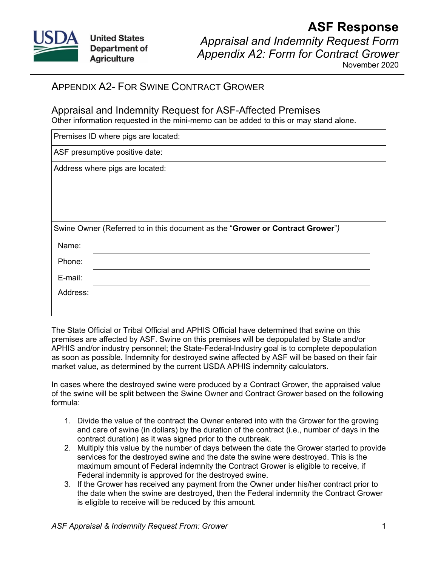

## **ASF Response** *Appraisal and Indemnity Request Form Appendix A2: Form for Contract Grower*

November 2020

## APPENDIX A2- FOR SWINE CONTRACT GROWER

## Appraisal and Indemnity Request for ASF-Affected Premises

Other information requested in the mini-memo can be added to this or may stand alone.

| Premises ID where pigs are located:                                           |  |
|-------------------------------------------------------------------------------|--|
| ASF presumptive positive date:                                                |  |
| Address where pigs are located:                                               |  |
|                                                                               |  |
|                                                                               |  |
|                                                                               |  |
| Swine Owner (Referred to in this document as the "Grower or Contract Grower") |  |
| Name:                                                                         |  |
| Phone:                                                                        |  |
| E-mail:                                                                       |  |
| Address:                                                                      |  |
|                                                                               |  |

The State Official or Tribal Official and APHIS Official have determined that swine on this premises are affected by ASF. Swine on this premises will be depopulated by State and/or APHIS and/or industry personnel; the State-Federal-Industry goal is to complete depopulation as soon as possible. Indemnity for destroyed swine affected by ASF will be based on their fair market value, as determined by the current USDA APHIS indemnity calculators.

In cases where the destroyed swine were produced by a Contract Grower, the appraised value of the swine will be split between the Swine Owner and Contract Grower based on the following formula:

- 1. Divide the value of the contract the Owner entered into with the Grower for the growing and care of swine (in dollars) by the duration of the contract (i.e., number of days in the contract duration) as it was signed prior to the outbreak.
- 2. Multiply this value by the number of days between the date the Grower started to provide services for the destroyed swine and the date the swine were destroyed. This is the maximum amount of Federal indemnity the Contract Grower is eligible to receive, if Federal indemnity is approved for the destroyed swine.
- 3. If the Grower has received any payment from the Owner under his/her contract prior to the date when the swine are destroyed, then the Federal indemnity the Contract Grower is eligible to receive will be reduced by this amount.